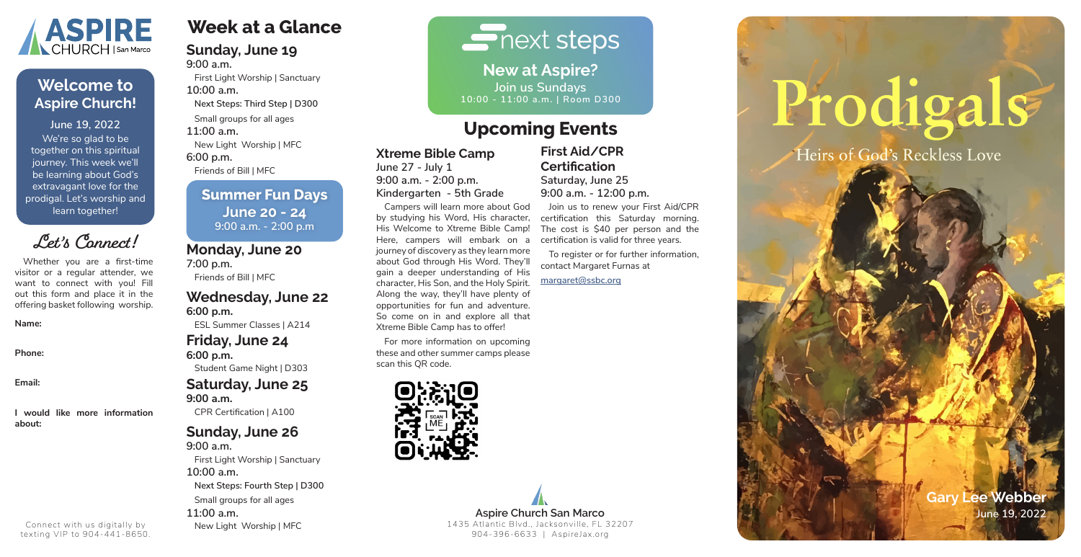# **Week at a Glance**

#### **Sunday, June 19 9:00 a.m.**

First Light Worship | Sanctuary **10:00 a.m. Next Steps: Third Step | D300**

Small groups for all ages

**11:00 a.m.**

New Light Worship | MFC

**6:00 p.m.**

Friends of Bill | MFC

# **Monday, June 20**

**7:00 p.m.** Friends of Bill | MFC

# **Wednesday, June 22 6:00 p.m.**

ESL Summer Classes | A214

### **Friday, June 24 6:00 p.m.**

Student Game Night | D303

# **Saturday, June 25 9:00 a.m.**

CPR Certification | A100

# **Sunday, June 26**

**9:00 a.m.** First Light Worship | Sanctuary **10:00 a.m. Next Steps: Fourth Step | D300** Small groups for all ages **11:00 a.m.** New Light Worship | MFC

# $\blacksquare$  next steps

## **Xtreme Bible Camp**

**June 27 - July 1 9:00 a.m. - 2:00 p.m. Kindergarten - 5th Grade**

Campers will learn more about God by studying his Word, His character, His Welcome to Xtreme Bible Camp! Here, campers will embark on a journey of discovery as they learn more about God through His Word. They'll gain a deeper understanding of His character, His Son, and the Holy Spirit. Along the way, they'll have plenty of opportunities for fun and adventure. So come on in and explore all that Xtreme Bible Camp has to offer!

For more information on upcoming these and other summer camps please scan this QR code.



**New at Aspire? Join us Sundays 10:00 - 11:00 a.m. | Room D300**

We're so glad to be together on this spiritual journey. This week we'll be learning about God's extravagant love for the prodigal. Let's worship and learn together! **June 19, 2022**



# **Welcome to Aspire Church!**

**Gary Lee Webber**



Whether you are a first-time visitor or a regular attender, we want to connect with you! Fill out this form and place it in the offering basket following worship.

#### **Name:**

**Phone:**

**Email:**

**I would like more information about:**

**Let's Connect!**

Connect with us digitally by texting VIP to 904-441-8650.

# **Upcoming Events**

# **Summer Fun Days June 20 - 24 9:00 a.m. - 2:00 p.m**

**First Aid/CPR Certification Saturday, June 25 9:00 a.m. - 12:00 p.m.**

Join us to renew your First Aid/CPR certification this Saturday morning. The cost is \$40 per person and the certification is valid for three years.

To register or for further information, contact Margaret Furnas at

**margaret@ssbc.org**

# Prodigals Heirs of God's Reckless Love